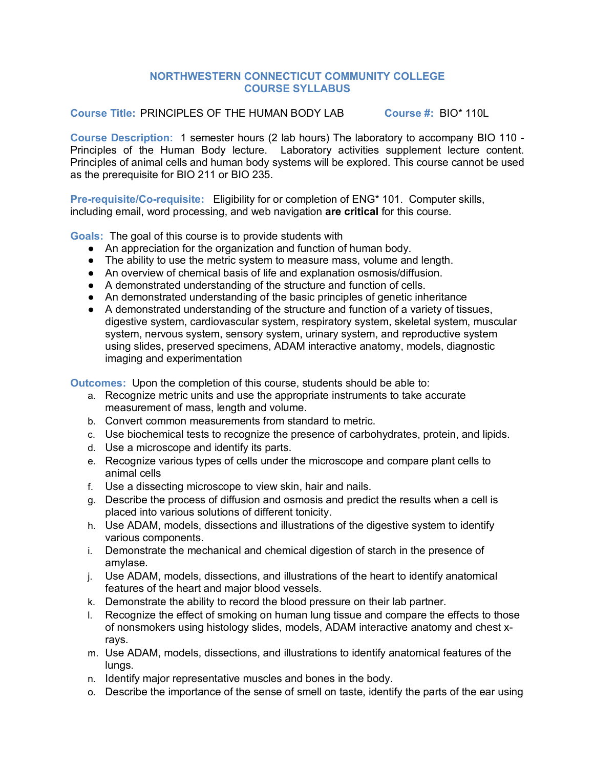## **NORTHWESTERN CONNECTICUT COMMUNITY COLLEGE COURSE SYLLABUS**

**Course Title:** PRINCIPLES OF THE HUMAN BODY LAB **Course #:** BIO\* 110L

**Course Description:** 1 semester hours (2 lab hours) The laboratory to accompany BIO 110 - Principles of the Human Body lecture. Laboratory activities supplement lecture content. Principles of animal cells and human body systems will be explored. This course cannot be used as the prerequisite for BIO 211 or BIO 235.

**Pre-requisite/Co-requisite:** Eligibility for or completion of ENG\* 101. Computer skills, including email, word processing, and web navigation **are critical** for this course.

**Goals:** The goal of this course is to provide students with

- An appreciation for the organization and function of human body.
- The ability to use the metric system to measure mass, volume and length.
- An overview of chemical basis of life and explanation osmosis/diffusion.
- A demonstrated understanding of the structure and function of cells.
- An demonstrated understanding of the basic principles of genetic inheritance
- A demonstrated understanding of the structure and function of a variety of tissues, digestive system, cardiovascular system, respiratory system, skeletal system, muscular system, nervous system, sensory system, urinary system, and reproductive system using slides, preserved specimens, ADAM interactive anatomy, models, diagnostic imaging and experimentation

**Outcomes:** Upon the completion of this course, students should be able to:

- a. Recognize metric units and use the appropriate instruments to take accurate measurement of mass, length and volume.
- b. Convert common measurements from standard to metric.
- c. Use biochemical tests to recognize the presence of carbohydrates, protein, and lipids.
- d. Use a microscope and identify its parts.
- e. Recognize various types of cells under the microscope and compare plant cells to animal cells
- f. Use a dissecting microscope to view skin, hair and nails.
- g. Describe the process of diffusion and osmosis and predict the results when a cell is placed into various solutions of different tonicity.
- h. Use ADAM, models, dissections and illustrations of the digestive system to identify various components.
- i. Demonstrate the mechanical and chemical digestion of starch in the presence of amylase.
- j. Use ADAM, models, dissections, and illustrations of the heart to identify anatomical features of the heart and major blood vessels.
- k. Demonstrate the ability to record the blood pressure on their lab partner.
- l. Recognize the effect of smoking on human lung tissue and compare the effects to those of nonsmokers using histology slides, models, ADAM interactive anatomy and chest xrays.
- m. Use ADAM, models, dissections, and illustrations to identify anatomical features of the lungs.
- n. Identify major representative muscles and bones in the body.
- o. Describe the importance of the sense of smell on taste, identify the parts of the ear using